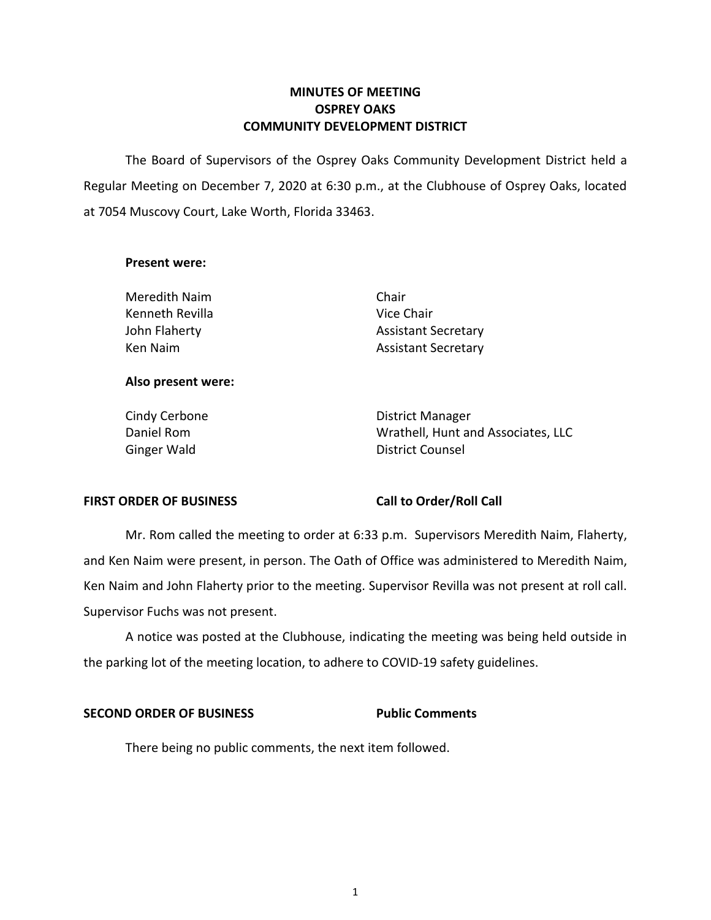# **OSPREY OAKS OSPREY OAKS COMMUNITY DEVELOPMENT DISTRICT MINUTES OF MEETING**

 The Board of Supervisors of the Osprey Oaks Community Development District held a at 7054 Muscovy Court, Lake Worth, Florida 33463. Regular Meeting on December 7, 2020 at 6:30 p.m., at the Clubhouse of Osprey Oaks, located

### **Present were:**

Meredith Naim **Chair** Chair Kenneth Revilla **Vice Chair** John Flaherty Ken Naim

Assistant Secretary Assistant Secretary

## **Also present were:**

Daniel Rom

Cindy Cerbone **District Manager** Ginger Wald **District Counsel** Wrathell, Hunt and Associates, LLC

### **FIRST ORDER OF BUSINESS**

## **Call to Order/Roll Call**

 Mr. Rom called the meeting to order at 6:33 p.m. Supervisors Meredith Naim, Flaherty, and Ken Naim were present, in person. The Oath of Office was administered to Meredith Naim, Ken Naim and John Flaherty prior to the meeting. Supervisor Revilla was not present at roll call. Supervisor Fuchs was not present.

 A notice was posted at the Clubhouse, indicating the meeting was being held outside in the parking lot of the meeting location, to adhere to COVID-19 safety guidelines.

### **SECOND ORDER OF BUSINESS**

### **Public Comments**

There being no public comments, the next item followed.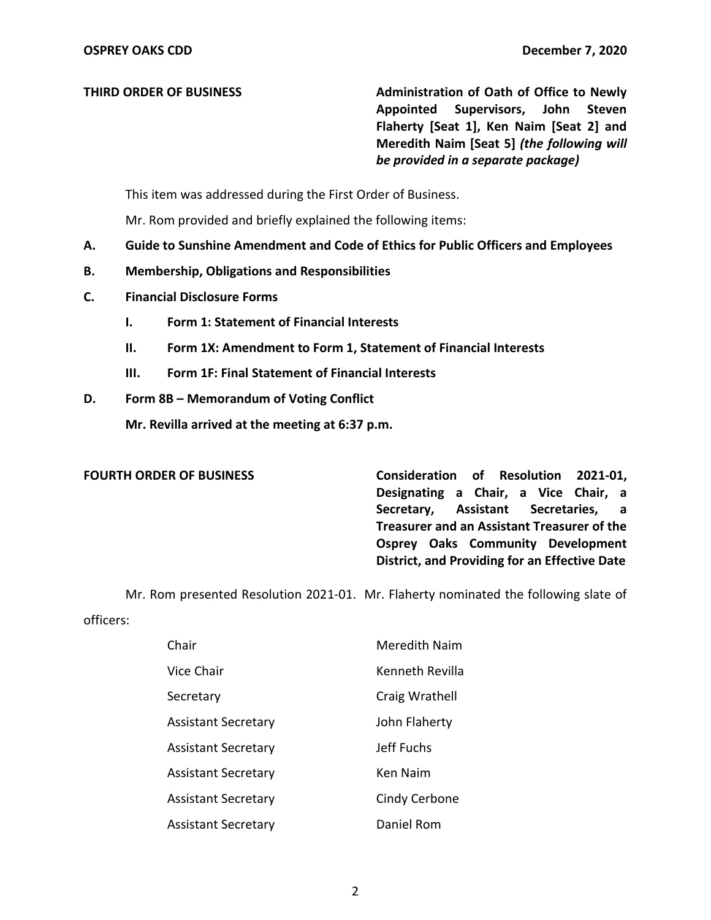**THIRD ORDER OF BUSINESS** Administration of Oath of Office to Newly  **Appointed Supervisors, John Steven**   *be provided in a separate package)*  **Flaherty [Seat 1], Ken Naim [Seat 2] and Meredith Naim [Seat 5]** *(the following will* 

This item was addressed during the First Order of Business.

Mr. Rom provided and briefly explained the following items:

- **A. Guide to Sunshine Amendment and Code of Ethics for Public Officers and Employees**
- **B. Membership, Obligations and Responsibilities**
- **C. Financial Disclosure Forms** 
	- **I. Form 1: Statement of Financial Interests**
	- **II. Form 1X: Amendment to Form 1, Statement of Financial Interests**
	- **III. Form 1F: Final Statement of Financial Interests**
- **D. Form 8B – Memorandum of Voting Conflict**

 **Mr. Revilla arrived at the meeting at 6:37 p.m.** 

### **FOURTH ORDER OF BUSINESS**

 **Designating a Chair, a Vice Chair, a Secretary, Assistant Secretaries, a Treasurer and an Assistant Treasurer of the District, and Providing for an Effective Date Consideration of Resolution 2021-01, Osprey Oaks Community Development** 

Mr. Rom presented Resolution 2021-01. Mr. Flaherty nominated the following slate of

officers:

| Chair                      | Meredith Naim   |
|----------------------------|-----------------|
| Vice Chair                 | Kenneth Revilla |
| Secretary                  | Craig Wrathell  |
| <b>Assistant Secretary</b> | John Flaherty   |
| <b>Assistant Secretary</b> | Jeff Fuchs      |
| <b>Assistant Secretary</b> | <b>Ken Naim</b> |
| <b>Assistant Secretary</b> | Cindy Cerbone   |
| <b>Assistant Secretary</b> | Daniel Rom      |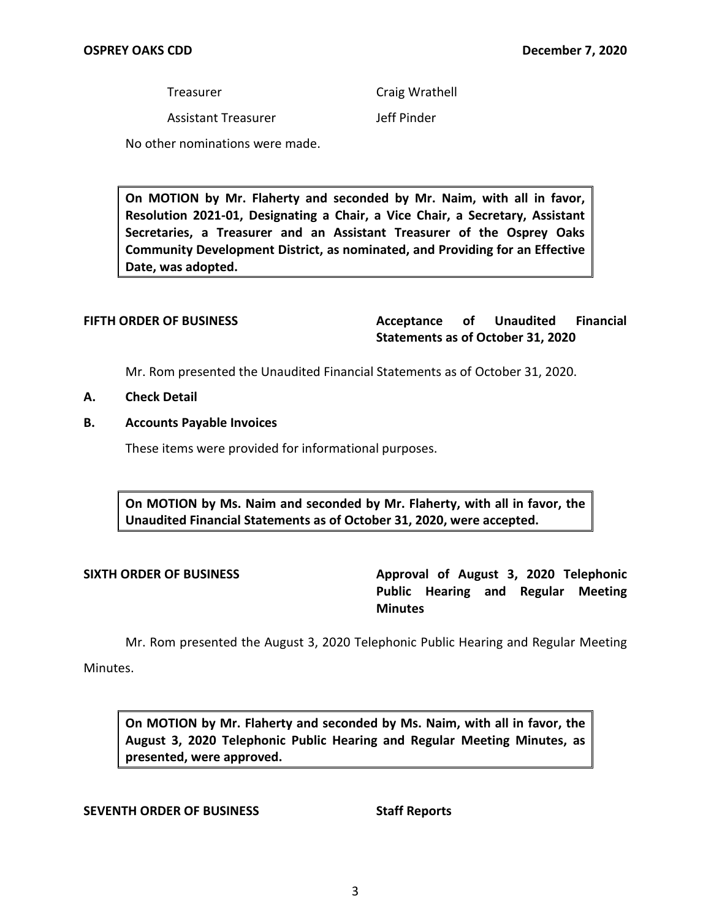Treasurer

Craig Wrathell

Assistant Treasurer

Jeff Pinder

No other nominations were made.

 **On MOTION by Mr. Flaherty and seconded by Mr. Naim, with all in favor, Resolution 2021-01, Designating a Chair, a Vice Chair, a Secretary, Assistant Secretaries, a Treasurer and an Assistant Treasurer of the Osprey Oaks Community Development District, as nominated, and Providing for an Effective Date, was adopted.** 

**FIFTH ORDER OF BUSINESS Acceptance of Unaudited Financial Statements as of October 31, 2020** 

Mr. Rom presented the Unaudited Financial Statements as of October 31, 2020.

- **A. Check Detail**
- **B. Accounts Payable Invoices**

These items were provided for informational purposes.

 **On MOTION by Ms. Naim and seconded by Mr. Flaherty, with all in favor, the Unaudited Financial Statements as of October 31, 2020, were accepted.** 

SIXTH ORDER OF BUSINESS **Approval of August 3, 2020 Telephonic Public Hearing and Regular Meeting Minutes** 

Mr. Rom presented the August 3, 2020 Telephonic Public Hearing and Regular Meeting

Minutes.

 **On MOTION by Mr. Flaherty and seconded by Ms. Naim, with all in favor, the August 3, 2020 Telephonic Public Hearing and Regular Meeting Minutes, as presented, were approved.** 

### **SEVENTH ORDER OF BUSINESS**

**Staff Reports**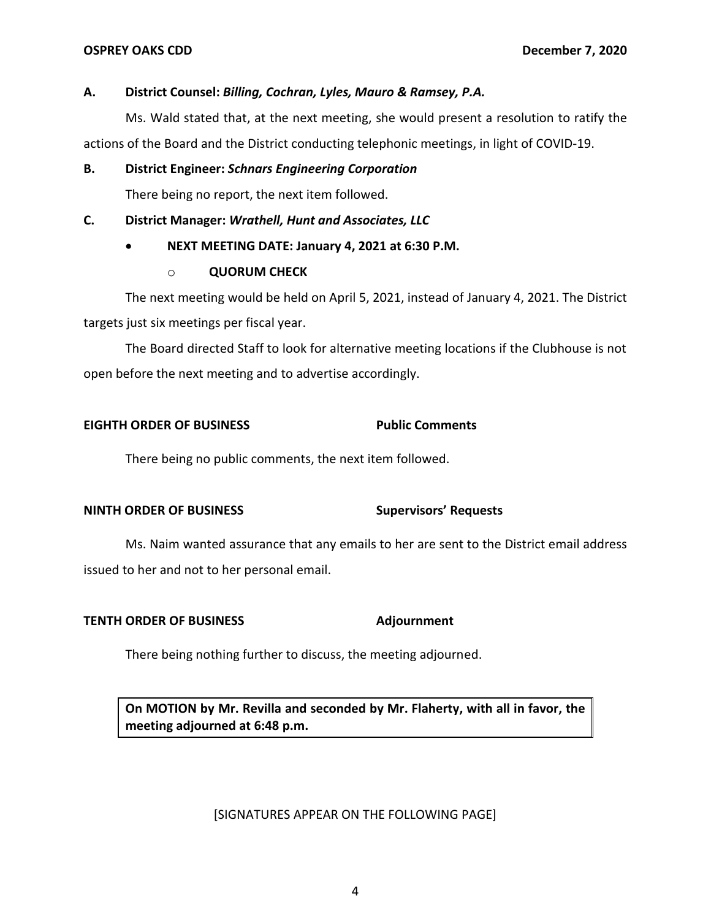### **A. District Counsel:** *Billing, Cochran, Lyles, Mauro & Ramsey, P.A.*

 Ms. Wald stated that, at the next meeting, she would present a resolution to ratify the actions of the Board and the District conducting telephonic meetings, in light of COVID-19.

## **B. District Engineer:** *Schnars Engineering Corporation*

There being no report, the next item followed.

## **C. District Manager:** *Wrathell, Hunt and Associates, LLC*

# **NEXT MEETING DATE: January 4, 2021 at 6:30 P.M.**

## o **QUORUM CHECK**

 The next meeting would be held on April 5, 2021, instead of January 4, 2021. The District targets just six meetings per fiscal year.

 The Board directed Staff to look for alternative meeting locations if the Clubhouse is not open before the next meeting and to advertise accordingly.

# **EIGHTH ORDER OF BUSINESS** Public Comments

There being no public comments, the next item followed.

# **NINTH ORDER OF BUSINESS Supervisors' Requests**

 Ms. Naim wanted assurance that any emails to her are sent to the District email address issued to her and not to her personal email.

## **TENTH ORDER OF BUSINESS Adjournment**

There being nothing further to discuss, the meeting adjourned.

 **On MOTION by Mr. Revilla and seconded by Mr. Flaherty, with all in favor, the meeting adjourned at 6:48 p.m.** 

## [SIGNATURES APPEAR ON THE FOLLOWING PAGE]